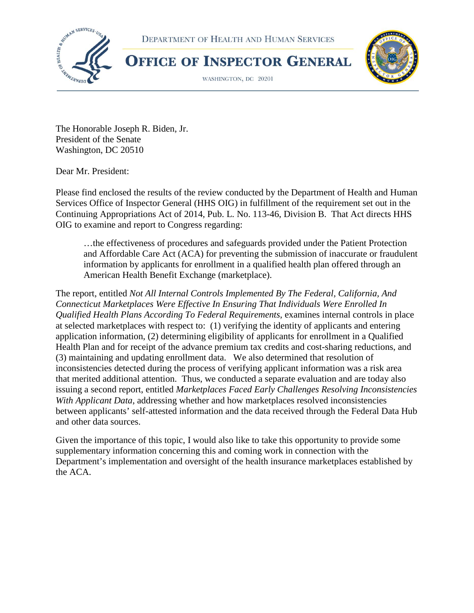





WASHINGTON, DC 20201



The Honorable Joseph R. Biden, Jr. President of the Senate Washington, DC 20510

Dear Mr. President:

Please find enclosed the results of the review conducted by the Department of Health and Human Services Office of Inspector General (HHS OIG) in fulfillment of the requirement set out in the Continuing Appropriations Act of 2014, Pub. L. No. 113-46, Division B. That Act directs HHS OIG to examine and report to Congress regarding:

…the effectiveness of procedures and safeguards provided under the Patient Protection and Affordable Care Act (ACA) for preventing the submission of inaccurate or fraudulent information by applicants for enrollment in a qualified health plan offered through an American Health Benefit Exchange (marketplace).

The report, entitled *Not All Internal Controls Implemented By The Federal, California, And Connecticut Marketplaces Were Effective In Ensuring That Individuals Were Enrolled In Qualified Health Plans According To Federal Requirements*, examines internal controls in place at selected marketplaces with respect to: (1) verifying the identity of applicants and entering application information, (2) determining eligibility of applicants for enrollment in a Qualified Health Plan and for receipt of the advance premium tax credits and cost-sharing reductions, and (3) maintaining and updating enrollment data. We also determined that resolution of inconsistencies detected during the process of verifying applicant information was a risk area that merited additional attention. Thus, we conducted a separate evaluation and are today also issuing a second report, entitled *Marketplaces Faced Early Challenges Resolving Inconsistencies With Applicant Data*, addressing whether and how marketplaces resolved inconsistencies between applicants' self-attested information and the data received through the Federal Data Hub and other data sources.

Given the importance of this topic, I would also like to take this opportunity to provide some supplementary information concerning this and coming work in connection with the Department's implementation and oversight of the health insurance marketplaces established by the ACA.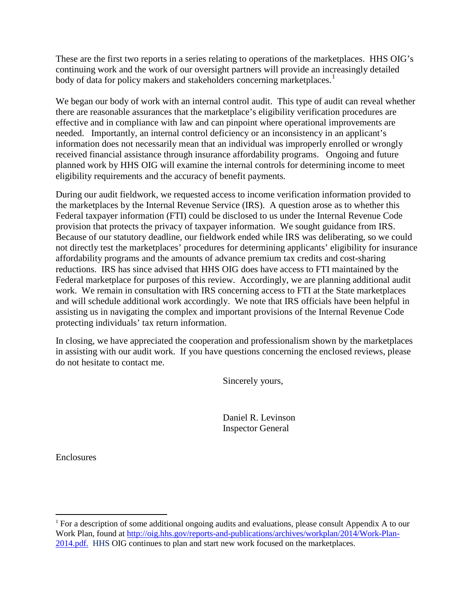These are the first two reports in a series relating to operations of the marketplaces. HHS OIG's continuing work and the work of our oversight partners will provide an increasingly detailed body of data for policy makers and stakeholders concerning marketplaces.<sup>[1](#page-1-0)</sup>

We began our body of work with an internal control audit. This type of audit can reveal whether there are reasonable assurances that the marketplace's eligibility verification procedures are effective and in compliance with law and can pinpoint where operational improvements are needed. Importantly, an internal control deficiency or an inconsistency in an applicant's information does not necessarily mean that an individual was improperly enrolled or wrongly received financial assistance through insurance affordability programs. Ongoing and future planned work by HHS OIG will examine the internal controls for determining income to meet eligibility requirements and the accuracy of benefit payments.

During our audit fieldwork, we requested access to income verification information provided to the marketplaces by the Internal Revenue Service (IRS). A question arose as to whether this Federal taxpayer information (FTI) could be disclosed to us under the Internal Revenue Code provision that protects the privacy of taxpayer information. We sought guidance from IRS. Because of our statutory deadline, our fieldwork ended while IRS was deliberating, so we could not directly test the marketplaces' procedures for determining applicants' eligibility for insurance affordability programs and the amounts of advance premium tax credits and cost-sharing reductions. IRS has since advised that HHS OIG does have access to FTI maintained by the Federal marketplace for purposes of this review. Accordingly, we are planning additional audit work. We remain in consultation with IRS concerning access to FTI at the State marketplaces and will schedule additional work accordingly. We note that IRS officials have been helpful in assisting us in navigating the complex and important provisions of the Internal Revenue Code protecting individuals' tax return information.

In closing, we have appreciated the cooperation and professionalism shown by the marketplaces in assisting with our audit work. If you have questions concerning the enclosed reviews, please do not hesitate to contact me.

Sincerely yours,

Daniel R. Levinson Inspector General

**Enclosures** 

<span id="page-1-0"></span> $1$  For a description of some additional ongoing audits and evaluations, please consult Appendix A to our Work Plan, found at [http://oig.hhs.gov/reports-and-publications/archives/workplan/2014/Work-Plan-](http://oig.hhs.gov/reports-and-publications/archives/workplan/2014/Work-Plan-2014.pdf)[2014.pdf.](http://oig.hhs.gov/reports-and-publications/archives/workplan/2014/Work-Plan-2014.pdf) HHS OIG continues to plan and start new work focused on the marketplaces.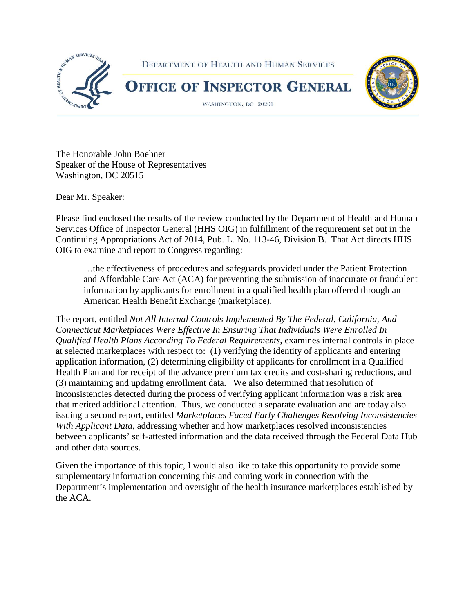

The Honorable John Boehner Speaker of the House of Representatives Washington, DC 20515

Dear Mr. Speaker:

Please find enclosed the results of the review conducted by the Department of Health and Human Services Office of Inspector General (HHS OIG) in fulfillment of the requirement set out in the Continuing Appropriations Act of 2014, Pub. L. No. 113-46, Division B. That Act directs HHS OIG to examine and report to Congress regarding:

…the effectiveness of procedures and safeguards provided under the Patient Protection and Affordable Care Act (ACA) for preventing the submission of inaccurate or fraudulent information by applicants for enrollment in a qualified health plan offered through an American Health Benefit Exchange (marketplace).

The report, entitled *Not All Internal Controls Implemented By The Federal, California, And Connecticut Marketplaces Were Effective In Ensuring That Individuals Were Enrolled In Qualified Health Plans According To Federal Requirements*, examines internal controls in place at selected marketplaces with respect to: (1) verifying the identity of applicants and entering application information, (2) determining eligibility of applicants for enrollment in a Qualified Health Plan and for receipt of the advance premium tax credits and cost-sharing reductions, and (3) maintaining and updating enrollment data. We also determined that resolution of inconsistencies detected during the process of verifying applicant information was a risk area that merited additional attention. Thus, we conducted a separate evaluation and are today also issuing a second report, entitled *Marketplaces Faced Early Challenges Resolving Inconsistencies With Applicant Data*, addressing whether and how marketplaces resolved inconsistencies between applicants' self-attested information and the data received through the Federal Data Hub and other data sources.

Given the importance of this topic, I would also like to take this opportunity to provide some supplementary information concerning this and coming work in connection with the Department's implementation and oversight of the health insurance marketplaces established by the ACA.